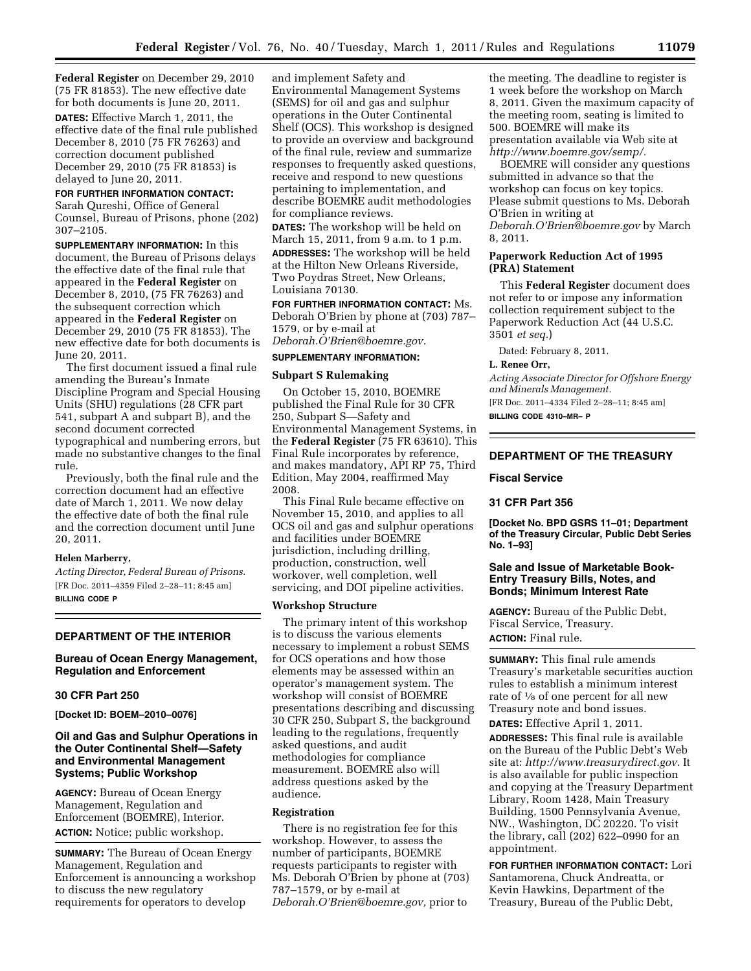**Federal Register** on December 29, 2010 (75 FR 81853). The new effective date for both documents is June 20, 2011.

**DATES:** Effective March 1, 2011, the effective date of the final rule published December 8, 2010 (75 FR 76263) and correction document published December 29, 2010 (75 FR 81853) is delayed to June 20, 2011.

## **FOR FURTHER INFORMATION CONTACT:**

Sarah Qureshi, Office of General Counsel, Bureau of Prisons, phone (202) 307–2105.

**SUPPLEMENTARY INFORMATION:** In this document, the Bureau of Prisons delays the effective date of the final rule that appeared in the **Federal Register** on December 8, 2010, (75 FR 76263) and the subsequent correction which appeared in the **Federal Register** on December 29, 2010 (75 FR 81853). The new effective date for both documents is June 20, 2011.

The first document issued a final rule amending the Bureau's Inmate Discipline Program and Special Housing Units (SHU) regulations (28 CFR part 541, subpart A and subpart B), and the second document corrected typographical and numbering errors, but made no substantive changes to the final rule.

Previously, both the final rule and the correction document had an effective date of March 1, 2011. We now delay the effective date of both the final rule and the correction document until June 20, 2011.

#### **Helen Marberry,**

*Acting Director, Federal Bureau of Prisons.*  [FR Doc. 2011–4359 Filed 2–28–11; 8:45 am] **BILLING CODE P** 

### **DEPARTMENT OF THE INTERIOR**

## **Bureau of Ocean Energy Management, Regulation and Enforcement**

## **30 CFR Part 250**

**[Docket ID: BOEM–2010–0076]** 

## **Oil and Gas and Sulphur Operations in the Outer Continental Shelf—Safety and Environmental Management Systems; Public Workshop**

**AGENCY:** Bureau of Ocean Energy Management, Regulation and Enforcement (BOEMRE), Interior. **ACTION:** Notice; public workshop.

**SUMMARY:** The Bureau of Ocean Energy Management, Regulation and Enforcement is announcing a workshop to discuss the new regulatory requirements for operators to develop

and implement Safety and Environmental Management Systems (SEMS) for oil and gas and sulphur operations in the Outer Continental Shelf (OCS). This workshop is designed to provide an overview and background of the final rule, review and summarize responses to frequently asked questions, receive and respond to new questions pertaining to implementation, and describe BOEMRE audit methodologies for compliance reviews.

**DATES:** The workshop will be held on March 15, 2011, from 9 a.m. to 1 p.m. **ADDRESSES:** The workshop will be held at the Hilton New Orleans Riverside, Two Poydras Street, New Orleans, Louisiana 70130.

**FOR FURTHER INFORMATION CONTACT:** Ms. Deborah O'Brien by phone at (703) 787– 1579, or by e-mail at *[Deborah.O'Brien@boemre.gov.](mailto:Deborah.O)* 

#### **SUPPLEMENTARY INFORMATION:**

#### **Subpart S Rulemaking**

On October 15, 2010, BOEMRE published the Final Rule for 30 CFR 250, Subpart S—Safety and Environmental Management Systems, in the **Federal Register** (75 FR 63610). This Final Rule incorporates by reference, and makes mandatory, API RP 75, Third Edition, May 2004, reaffirmed May 2008.

This Final Rule became effective on November 15, 2010, and applies to all OCS oil and gas and sulphur operations and facilities under BOEMRE jurisdiction, including drilling, production, construction, well workover, well completion, well servicing, and DOI pipeline activities.

### **Workshop Structure**

The primary intent of this workshop is to discuss the various elements necessary to implement a robust SEMS for OCS operations and how those elements may be assessed within an operator's management system. The workshop will consist of BOEMRE presentations describing and discussing 30 CFR 250, Subpart S, the background leading to the regulations, frequently asked questions, and audit methodologies for compliance measurement. BOEMRE also will address questions asked by the audience.

#### **Registration**

There is no registration fee for this workshop. However, to assess the number of participants, BOEMRE requests participants to register with Ms. Deborah O'Brien by phone at (703) 787–1579, or by e-mail at *[Deborah.O'Brien@boemre.gov,](mailto:Deborah.O)* prior to

the meeting. The deadline to register is 1 week before the workshop on March 8, 2011. Given the maximum capacity of the meeting room, seating is limited to 500. BOEMRE will make its presentation available via Web site at *[http://www.boemre.gov/semp/.](http://www.boemre.gov/semp/)* 

BOEMRE will consider any questions submitted in advance so that the workshop can focus on key topics. Please submit questions to Ms. Deborah O'Brien in writing at *[Deborah.O'Brien@boemre.gov](mailto:Deborah.O)* by March 8, 2011.

### **Paperwork Reduction Act of 1995 (PRA) Statement**

This **Federal Register** document does not refer to or impose any information collection requirement subject to the Paperwork Reduction Act (44 U.S.C. 3501 *et seq.*)

Dated: February 8, 2011.

#### **L. Renee Orr,**

*Acting Associate Director for Offshore Energy and Minerals Management.* 

[FR Doc. 2011–4334 Filed 2–28–11; 8:45 am] **BILLING CODE 4310–MR– P** 

## **DEPARTMENT OF THE TREASURY**

#### **Fiscal Service**

#### **31 CFR Part 356**

**[Docket No. BPD GSRS 11–01; Department of the Treasury Circular, Public Debt Series No. 1–93]** 

## **Sale and Issue of Marketable Book-Entry Treasury Bills, Notes, and Bonds; Minimum Interest Rate**

**AGENCY:** Bureau of the Public Debt, Fiscal Service, Treasury. **ACTION:** Final rule.

**SUMMARY:** This final rule amends Treasury's marketable securities auction rules to establish a minimum interest rate of  $\frac{1}{8}$  of one percent for all new Treasury note and bond issues.

**DATES:** Effective April 1, 2011.

**ADDRESSES:** This final rule is available on the Bureau of the Public Debt's Web site at: *[http://www.treasurydirect.gov.](http://www.treasurydirect.gov)* It is also available for public inspection and copying at the Treasury Department Library, Room 1428, Main Treasury Building, 1500 Pennsylvania Avenue, NW., Washington, DC 20220. To visit the library, call (202) 622–0990 for an appointment.

**FOR FURTHER INFORMATION CONTACT:** Lori Santamorena, Chuck Andreatta, or Kevin Hawkins, Department of the Treasury, Bureau of the Public Debt,